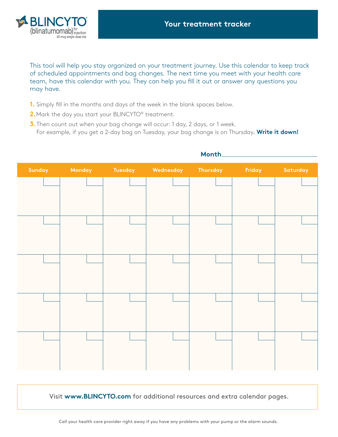

This tool will help you stay organized on your treatment journey. Use this calendar to keep track of scheduled appointments and bag changes. The next time you meet with your health care team, have this calendar with you. They can help you fill it out or answer any questions you may have.

- **1.** Simply fill in the months and days of the week in the blank spaces below.
- 2. Mark the day you start your BLINCYTO<sup>®</sup> treatment.
- **3.** Then count out when your bag change will occur: 1 day, 2 days, or 1 week. For example, if you get a 2-day bag on Tuesday, your bag change is on Thursday. **Write it down!**



# **Month**

Visit **www.BLINCYTO.com** for additional resources and extra calendar pages.